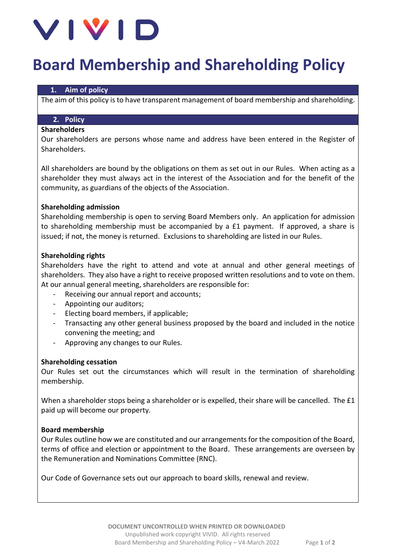

# **Board Membership and Shareholding Policy**

#### **1. Aim of policy**

The aim of this policy is to have transparent management of board membership and shareholding.

# **2. Policy**

#### **Shareholders**

Our shareholders are persons whose name and address have been entered in the Register of Shareholders.

All shareholders are bound by the obligations on them as set out in our Rules. When acting as a shareholder they must always act in the interest of the Association and for the benefit of the community, as guardians of the objects of the Association.

#### **Shareholding admission**

Shareholding membership is open to serving Board Members only. An application for admission to shareholding membership must be accompanied by a £1 payment. If approved, a share is issued; if not, the money is returned. Exclusions to shareholding are listed in our Rules.

#### **Shareholding rights**

Shareholders have the right to attend and vote at annual and other general meetings of shareholders. They also have a right to receive proposed written resolutions and to vote on them. At our annual general meeting, shareholders are responsible for:

- Receiving our annual report and accounts;
- Appointing our auditors;
- Electing board members, if applicable;
- Transacting any other general business proposed by the board and included in the notice convening the meeting; and
- Approving any changes to our Rules.

#### **Shareholding cessation**

Our Rules set out the circumstances which will result in the termination of shareholding membership.

When a shareholder stops being a shareholder or is expelled, their share will be cancelled. The £1 paid up will become our property.

#### **Board membership**

Our Rules outline how we are constituted and our arrangements for the composition of the Board, terms of office and election or appointment to the Board. These arrangements are overseen by the Remuneration and Nominations Committee (RNC).

Our Code of Governance sets out our approach to board skills, renewal and review.